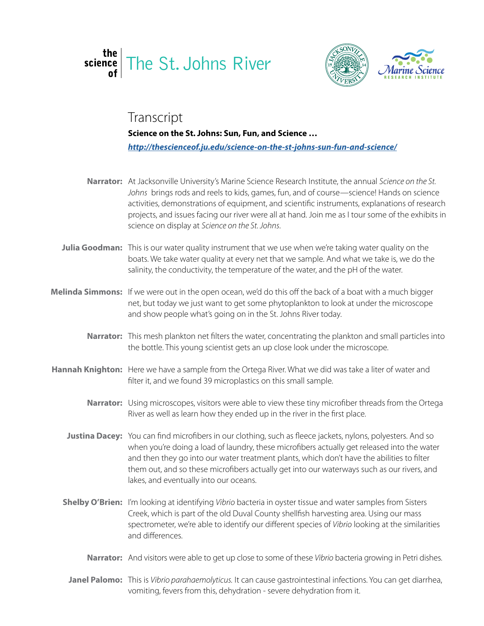## | the<br>| science<br>| fo [The St. Johns River](http://thescienceof.ju.edu/)



## Transcript **Science on the St. Johns: Sun, Fun, and Science …** *<http://thescienceof.ju.edu/science-on-the-st-johns-sun-fun-and-science/>*

- Marrator: At Jacksonville University's Marine Science Research Institute, the annual Science on the St. *Johns* brings rods and reels to kids, games, fun, and of course—science! Hands on science activities, demonstrations of equipment, and scientific instruments, explanations of research projects, and issues facing our river were all at hand. Join me as I tour some of the exhibits in science on display at *Science on the St. Johns*.
- Julia Goodman: This is our water quality instrument that we use when we're taking water quality on the boats. We take water quality at every net that we sample. And what we take is, we do the salinity, the conductivity, the temperature of the water, and the pH of the water.
- Melinda Simmons: If we were out in the open ocean, we'd do this off the back of a boat with a much bigger net, but today we just want to get some phytoplankton to look at under the microscope and show people what's going on in the St. Johns River today.
	- Narrator: This mesh plankton net filters the water, concentrating the plankton and small particles into the bottle. This young scientist gets an up close look under the microscope.
- Hannah Knighton: Here we have a sample from the Ortega River. What we did was take a liter of water and filter it, and we found 39 microplastics on this small sample.
	- Narrator: Using microscopes, visitors were able to view these tiny microfiber threads from the Ortega River as well as learn how they ended up in the river in the first place.
	- Justina Dacey: You can find microfibers in our clothing, such as fleece jackets, nylons, polyesters. And so when you're doing a load of laundry, these microfibers actually get released into the water and then they go into our water treatment plants, which don't have the abilities to filter them out, and so these microfibers actually get into our waterways such as our rivers, and lakes, and eventually into our oceans.
	- **Shelby O'Brien:** I'm looking at identifying Vibrio bacteria in oyster tissue and water samples from Sisters Creek, which is part of the old Duval County shellfish harvesting area. Using our mass spectrometer, we're able to identify our different species of *Vibrio* looking at the similarities and differences.
		- Narrator: And visitors were able to get up close to some of these Vibrio bacteria growing in Petri dishes.
		- Janel Palomo: This is Vibrio parahaemolyticus. It can cause gastrointestinal infections. You can get diarrhea, vomiting, fevers from this, dehydration - severe dehydration from it.